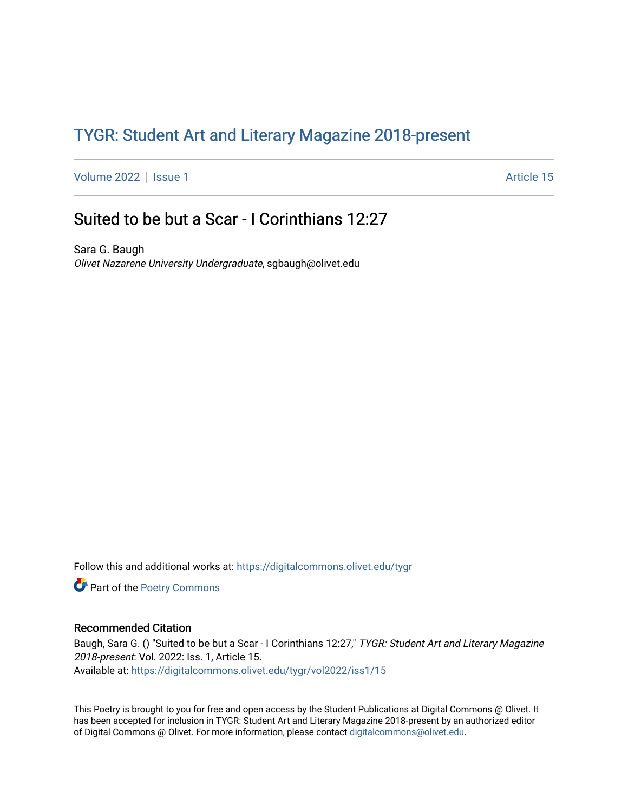## TYGR: Student Art and Literary Magazine 2018-present

[Volume 2022](https://digitalcommons.olivet.edu/tygr/vol2022) | [Issue 1](https://digitalcommons.olivet.edu/tygr/vol2022/iss1) Article 15

## Suited to be but a Scar - I Corinthians 12:27

Sara G. Baugh Olivet Nazarene University Undergraduate, sgbaugh@olivet.edu

Follow this and additional works at: [https://digitalcommons.olivet.edu/tygr](https://digitalcommons.olivet.edu/tygr?utm_source=digitalcommons.olivet.edu%2Ftygr%2Fvol2022%2Fiss1%2F15&utm_medium=PDF&utm_campaign=PDFCoverPages)

Part of the [Poetry Commons](http://network.bepress.com/hgg/discipline/1153?utm_source=digitalcommons.olivet.edu%2Ftygr%2Fvol2022%2Fiss1%2F15&utm_medium=PDF&utm_campaign=PDFCoverPages) 

## Recommended Citation

Baugh, Sara G. () "Suited to be but a Scar - I Corinthians 12:27," TYGR: Student Art and Literary Magazine 2018-present: Vol. 2022: Iss. 1, Article 15. Available at: [https://digitalcommons.olivet.edu/tygr/vol2022/iss1/15](https://digitalcommons.olivet.edu/tygr/vol2022/iss1/15?utm_source=digitalcommons.olivet.edu%2Ftygr%2Fvol2022%2Fiss1%2F15&utm_medium=PDF&utm_campaign=PDFCoverPages) 

This Poetry is brought to you for free and open access by the Student Publications at Digital Commons @ Olivet. It has been accepted for inclusion in TYGR: Student Art and Literary Magazine 2018-present by an authorized editor of Digital Commons @ Olivet. For more information, please contact [digitalcommons@olivet.edu.](mailto:digitalcommons@olivet.edu)